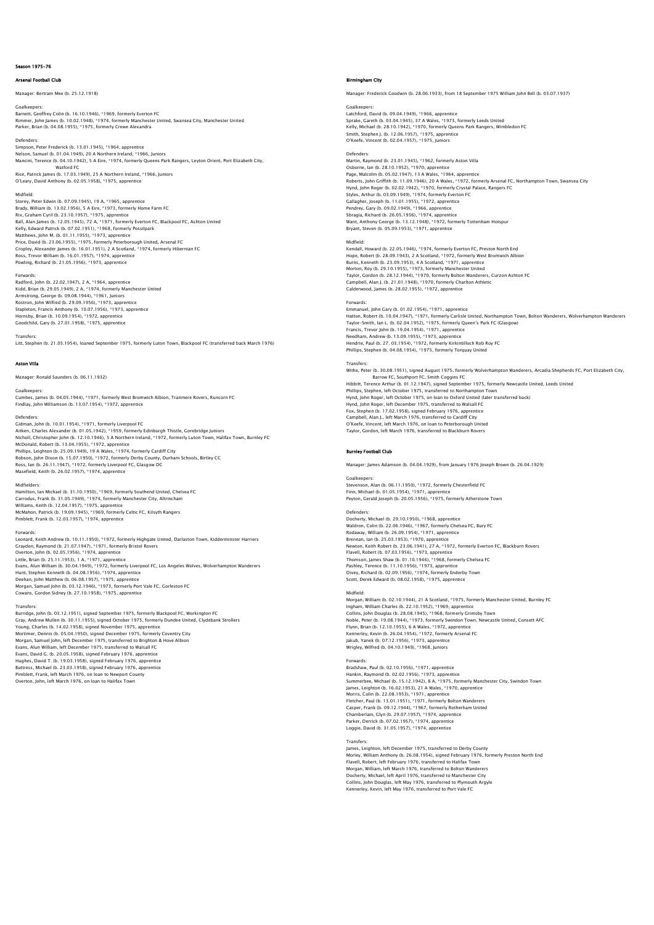## Season 1975-76

Arsenal Football Club

## Manager: Bertram Mee (b. 25.12.1918)

Goalkeepers:<br>Barnett, Geoffrey Colin (b. 16.10.1946), \*1969, formerly Everton FC<br>Rimmer, John James (b. 10.02.1948), \*1974, formerly Manchester United, Swansea City, Manchester United<br>Parker, Brian (b. 04.08.1955), \*1975,

Defenders Simpson, Peter Frederick (b. 13.01.1945), \*1964, apprentice<br>Nelson, Samuel (b. 01.04.1949), 20 A Northern Ireland, \*1966, Juniors<br>Mancini, Terence (b. 04.10.1942), 5 A Eire, \*1974, formerly Queens Park Rangers, Leyton Orie Watford FC Rice, Patrick James (b. 17.03.1949), 25 A Northern Ireland, \*1966, Juniors O'Leary, David Anthony (b. 02.05.1958), \*1975, apprentice

### Midfield:

Storey, Peter Edwin (b. 07.09.1945), 19 A, \*1965, apprentice<br>Brady, William (b. 13.02.1956), 5 A Eire, \*1973, formerly Home Farm FC<br>Rix, Graham Cyril (b. 23.10.1957), \*1975, apprentice<br>Rall, Alan James (b. 12.05.1945), 72 Price, David (b. 23.06.1955), \*1975, formerly Peterborough United, Arsenal FC<br>Cropley, Alexander James (b. 16.01.1951), 2 A Scotland, \*1974, formerly Hibernian FC<br>Ross, Trevor William (b. 16.01.1957), \*1974, apprentice<br>Pow

## Forwards:

Radford, John (b. 22.02.1947), 2 A, \*1964, apprentice<br>Kidd, Brian (b. 29.05.1949), 2 A, \*1974, formerly Manchester United<br>Armstrong, George (b. 09.08.1944), \*1961, Juniors<br>Rostron, John Wilfred (b. 29.09.1956), \*1973, appr Stapleton, Francis Anthony (b. 10.07.1956), \*1973, apprentice Hornsby, Brian (b. 10.09.1954), \*1972, apprentice Goodchild, Gary (b. 27.01.1958), \*1975, apprentice

Transfers: Litt, Stephen (b. 21.05.1954), loaned September 1975, formerly Luton Town, Blackpool FC (transferred back March 1976)

## Aston Villa

Manager: Ronald Saunders (b. 06.11.1932)

## Goalkeepers:

Cumbes, James (b. 04.05.1944), \*1971, formerly West Bromwich Albion, Tranmere Rovers, Runcorn FC Findlay, John Williamson (b. 13.07.1954), \*1972, apprentice

## Defenders:

Gidman, John (b. 10.01.1954), \*1971, formerly Liverpool FC<br>Aitken, Charles Alexander (b. 01.05.1942), \*1959, formerly Edinburgh Thistle, Gorebridge Juniors<br>Nicholl, Christopher John (b. 12.10.1946), 5 A Northern Ireland, \* McDonald, Robert (b. 13.04.1955), \*1972, apprentice Phillips, Leighton (b. 25.09.1949), 19 A Wales, \*1974, formerly Cardiff City Robson, John Dixon (b. 15.07.1950), \*1972, formerly Derby County, Durham Schools, Birtley CC Ross, Ian (b. 26.11.1947), \*1972, formerly Liverpool FC, Glasgow DC Masefield, Keith (b. 26.02.1957), \*1974, apprentice

## Midfielders:

Hamilton, Ian Michael (b. 31.10.1950), \*1969, formerly Southend United, Chelsea FC Carrodus, Frank (b. 31.05.1949), \*1974, formerly Manchester City, Altrincham<br>Williams, Keith (b. 12.04.1957), \*1975, apprentice<br>McMahon, Patrick (b. 19.09.1945), \*1969, formerly Celtic FC, Kilsyth Rangers<br>Pimblett, Frank (

Forwards:<br>Leonard, Keith Andrew (b. 10.11.1950), \*1972, formerly Highgate United, Darlaston Town, Kidderminster Harriers<br>Graydon, Raymond (b. 21.07.1947), \*1971, formerly Bristol Rovers<br>Overton ,John (b. 02.05.1956), \*1971 Evans, Alun William (b. 30.04.1949), \*1972, formerly Liverpool FC, Los Angeles Wolves, Wolverhampton Wanderers Hunt, Stephen Kenneth (b. 04.08.1956), \*1974, apprentice<br>Deehan, John Matthew (b. 06.08.1957), \*1975, apprentice<br>Morgan, Samuel John (b. 03.12.1946), \*1973, formerly Port Vale FC, Gorleston FC<br>Cowans, Gordon Sidney (b. 27.

## Transfers:

Burridge, John (b. 03.12.1951), signed September 1975, formerly Blackpool FC, Workington FC<br>Gray, Andrew Mullen (b. 30.11.1955), signed October 1975, formerly Dundee United, Clydebank Strollers<br>Young, Charles (b. 14.02.195 Morgan, Samuel John, left December 1975, transferred to Brighton & Hove Albion<br>Evans, Alun William, left December 1975, transferred to Walsall FC<br>Evans, David G. (b. 20.05.1958), signed February 1976, apprentice<br>Hughes, Da Pimblett, Frank, left March 1976, on loan to Newport County Overton, John, left March 1976, on loan to Halifax Town

## e<br>Birmingham City

Manager: Frederick Goodwin (b. 28.06.1933), from 18 September 1975 William John Bell (b. 03.07.1937)

Goalkeepers:<br>Latchford, David (b. 09.04.1949), \*1966, apprentice<br>Sprake, Gareth (b. 03.04.1945), 37 A Wales, \*1973, formerly Leeds United<br>Kelly, Michael (b. 28.10.1942), \*1970, formerly Queens Park Rangers, Wimbledon FC Smith, Stephen J. (b. 12.06.1957), \*1975, apprentice O'Keefe, Vincent (b. 02.04.1957), \*1975, Juniors

Defenders: Martin, Raymond (b. 23.01.1945), \*1962, formerly Aston Villa Osborne, Ian (b. 28.10.1952), \*1970, apprentice<br>Page, Malcolm (b. 05.02.1947), 13 A Wales, \*1964, apprentice<br>Roberts, John Griffith (b. 11.09.1946), 20 A Wales, \*1972, formerly Arsenal FC, Northampton Town, Swansea City<br>Hy Styles, Arthur (b. 03.09.1949), \*1974, formerly Everton FC Gallagher, Joseph (b. 11.01.1955), \*1972, apprentice Pendrey, Gary (b. 09.02.1949), \*1966, apprentice Sbragia, Richard (b. 26.05.1956), \*1974, apprentice Want, Anthony George (b. 13.12.1948), \*1972, formerly Tottenham Hotspur Bryant, Steven (b. 05.09.1953), \*1971, apprentice

## Midfield:

Kendall, Howard (b. 22.05.1946), \*1974, formerly Everton FC, Preston North End Hope, Robert (b. 28.09.1943), 2 A Scotland, \*1972, formerly West Bromwich Albion Burns, Kenneth (b. 23.09.1953), 4 A Scotland, \*1971, apprentice Morton, Roy (b. 29.10.1955), \*1973, formerly Manchester United Taylor, Gordon (b. 28.12.1944), \*1970, formerly Bolton Wanderers, Curzon Ashton FC Campbell, Alan J. (b. 21.01.1948), \*1970, formerly Charlton Athletic Calderwood, James (b. 28.02.1955), \*1972, apprentice

## Forwards:

Emmanuel, John Gary (b. 01.02.1954), \*1971, apprentice Hatton, Robert (b. 10.04.1947), \*1971, formerly Carlisle United, Northampton Town, Bolton Wanderers, Wolverhampton Wanderers<br>Taylor-Smith, Ian L. (b. 02.04.1952), \*1975, formerly Queen's Park FC (Glasgow)<br>Francis, Trevor J Hendrie, Paul (b. 27. 03.1954), \*1972, formerly Kirkintilloch Rob Roy FC Phillips, Stephen (b. 04.08.1954), \*1975, formerly Torquay United

Transfers:<br>Withe, Peter (b. 30.08.1951), signed August 1975, formerly Wolverhampton Wanderers, Arcadia Shepherds FC, Port Elizabeth City,<br>Barrow FC, Southport FC, Smith Coggins FC<br>Hibbitt, Terence Arthur (b. 01.12.1947), s Hynd, John Roger, left December 1975, transferred to Walsall FC Fox, Stephen (b. 17.02.1958), signed February 1976, apprentice Campbell, Alan J., left March 1976, transferred to Cardiff City O'Keefe, Vincent, left March 1976, on loan to Peterborough United Taylor, Gordon, left March 1976, transferred to Blackburn Rovers

## Burnley Football Club

Manager: James Adamson (b. 04.04.1929), from January 1976 Joseph Brown (b. 26.04.1929)

## Goalkeepers: Stevenson, Alan (b. 06.11.1950), \*1972, formerly Chesterfield FC Finn, Michael (b. 01.05.1954), \*1971, apprentice Peyton, Gerald Joseph (b. 20.05.1956), \*1975, formerly Atherstone Town

Defenders: Docherty, Michael (b. 29.10.1950), \*1968, apprentice Waldron, Colin (b. 22.06.1946), \*1967, formerly Chelsea FC, Bury FC Rodaway, William (b. 26.09.1954), \*1971, apprentice<br>Brennan, Ian (b. 25.03.1953), \*1970, apprentice<br>Newton, Keith Robert (b. 23.06.1941), 27 A, \*1972, formerly Everton FC, Blackburn Rovers<br>Flavell, Robert (b. 07.03.1956), Pashley, Terence (b. 11.10.1956), \*1973, apprentice Dixey, Richard (b. 02.09.1956), \*1974, formerly Enderby Town Scott, Derek Edward (b. 08.02.1958), \*1975, apprentice

Midfield:<br>Morgan, William (b. 02.10.1944), 21 A Scotland, \*1975, formerly Manchester United, Burnley FC Morgan, William (b. 02.10.1944), 21 A Scotland, \*1975, formerly Manchester United, Burnley FC<br>Ingham, William Charles (b. 22.10.1952), \*1969, apprentice<br>Collins, John Douglas (b. 28.08.1945), \*1968, formerly Grimsby Town<br>N Jakub, Yanek (b. 07.12.1956), \*1973, apprentice Wrigley, Wilfred (b. 04.10.1949), \*1968, Juniors

## Forwards:

Bradshaw, Paul (b. 02.10.1956), \*1971, apprentice Hankin, Raymond (b. 02.02.1956), \*1973, apprentice<br>Summerbee, Michael (b. 15.12.1942), 8 A, \*1975, formerly Manchester City, Swindon Town<br>James, Leighton (b. 16.02.1953), 21 A Wales, \*1970, apprentice<br>Morris, Colin (b. 2.3 Casper, Frank (b. 09.12.1944), \*1967, formerly Rotherham United Chamberlain, Glyn (b. 29.07.1957), \*1974, apprentice Parker, Derrick (b. 07.02.1957), \*1974, apprentice Loggie, David (b. 31.05.1957), \*1974, apprentice

## **Transfer**

James, Leighton, left December 1975, transferred to Derby County<br>Morley, William Anthony (b. 26.08.1954), signed February 1976, formerly Preston North End<br>Flavell, Robert, left February 1976, transferred to Halifax Town<br>Mo Docherty, Michael, left April 1976, transferred to Manchester City Collins, John Douglas, left May 1976, transferred to Plymouth Argyle Kennerley, Kevin, left May 1976, transferred to Port Vale FC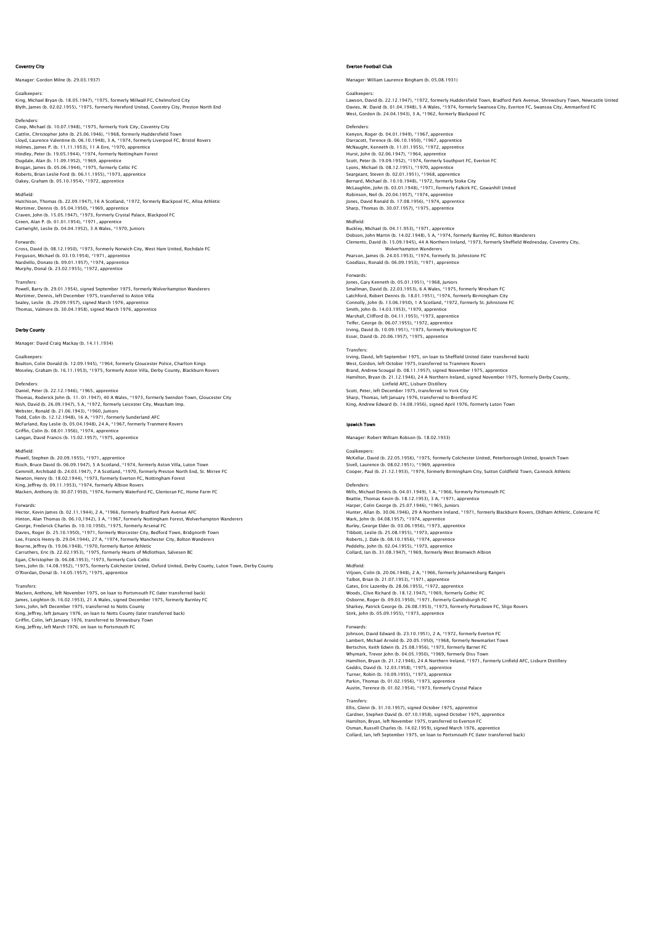## Coventry City

Manager: Gordon Milne (b. 29.03.1937)

## Goalkeepers:

King, Michael Bryan (b. 18.05.1947), \*1975, formerly Millwall FC, Chelmsford City Blyth, James (b. 02.02.1955), \*1975, formerly Hereford United, Coventry City, Preston North End

Defenders: Coop, Michael (b. 10.07.1948), \*1975, formerly York City, Coventry City Cattlin, Christopher John (b. 25.06.1946), \*1968, formerly Huddersfield Town<br>Lloyd, Laurence Valentine (b. 06.10.1948), 3 A, \*1974, formerly Liverpool FC, Bristol Rovers<br>Holmes, James P. (b. 11.11.1953), 11 A Eire, \*1970, Brogan, James (b. 05.06.1944), \*1975, formerly Celtic FC Roberts, Brian Leslie Ford (b. 06.11.1955), \*1973, apprentice Oakey, Graham (b. 05.10.1954), \*1972, apprentice

## Midfield:

Hutchison, Thomas (b. 22.09.1947), 16 A Scotland, \*1972, formerly Blackpool FC, Alloa Athletic Mortimer, Dennis (b. 05.04.1950), \*1969, apprentice Craven, John (b. 15.05.1947), \*1973, formerly Crystal Palace, Blackpool FC<br>Green, Alan P. (b. 01.01.1954), \*1971, apprentice<br>Cartwright, Leslie (b. 04.04.1952), 3 A Wales, \*1970, Juniors

Forwards: Cross, David (b. 08.12.1950), \*1973, formerly Norwich City, West Ham United, Rochdale FC Ferguson, Michael (b. 03.10.1954), \*1971, apprentice Nardiello, Donato (b. 09.01.1957), \*1974, apprentice Murphy, Donal (b. 23.02.1955), \*1972, apprentice

### Transfers:

Powell, Barry (b. 29.01.1954), signed September 1975, formerly Wolverhampton Wanderers<br>Mortimer, Dennis, left December 1975, transferred to Aston Villa<br>Sealey, Leslie (b. 29.09.1957), signed March 1976, apprentice<br>Thomas,

## Derby County

Manager: David Craig Mackay (b. 14.11.1934)

### Goalkeepers:

Boulton, Colin Donald (b. 12.09.1945), \*1964, formerly Gloucester Police, Charlton Kings Moseley, Graham (b. 16.11.1953), \*1975, formerly Aston Villa, Derby County, Blackburn Rovers

## Defenders:

Daniel, Peter (b. 22.12.1946), \*1965, apprentice Thomas, Roderick John (b. 11. 01.1947), 40 A Wales, \*1973, formerly Swindon Town, Gloucester City Nish, David (b. 26.09.1947), 5 A, \*1972, formerly Leicester City, Measham Imp. Webster, Ronald (b. 21.06.1943), \*1960, Juniors Todd, Colin (b. 12.12.1948), 16 A, \*1971, formerly Sunderland AFC McFarland, Roy Leslie (b. 05.04.1948), 24 A, \*1967, formerly Tranmere Rovers<br>Griffin, Colin (b. 08.01.1956), \*1974, apprentice<br>Langan, David Francis (b. 15.02.1957), \*1975, apprentice

## Midfield:

Powell, Stephen (b. 20.09.1955), \*1971, apprentice Rioch, Bruce David (b. 06.09.1947), S A Scotland, \*1974, formerly Aston Villa, Luton Town<br>Gemmill, Archibald (b. 24.03.1947), 7 A Scotland, \*1970, formerly Preston North End, St. Mirren FC<br>Newton, Henry (b. 18.02.1944), \*1 King, Jeffrey (b. 09.11.1953), \*1974, formerly Albion Rovers Macken, Anthony (b. 30.07.1950), \*1974, formerly Waterford FC, Glentoran FC, Home Farm FC

Forwards: Hector, Kevin James (b. 02.11.1944), 2 A, \*1966, formerly Bradford Park Avenue AFC Hinton, Alan Thomas (b. 06.10,1942), 3 A, \*1967, formerly Nottingham Forest, Wolverhampton Wanderers George, Frederick Charles (b. 10.10.1950), \*1975, formerly Arsenal FC Davies, Roger (b. 25.10.1950), \*1971, formerly Worcester City, Bedford Town, Bridgnorth Town<br>Lee, Francis Henry (b. 29.04.1944), 27 A, \*1974, formerly Manchester City, Bolton Wanderers<br>Bourne, Jeffrey (b. 19.06.1948), \*197 Sims, John (b. 14.08.1952), \*1975, formerly Colchester United, Oxford United, Derby County, Luton Town, Derby County O'Riordan, Donal (b. 14.05.1957), \*1975, apprentice

Transfers: Macken, Anthony, left November 1975, on loan to Portsmouth FC (later transferred back) James, Leighton (b. 16.02.1953), 21 A Wales, signed December 1975, formerly Burnley FC<br>Sims, John, left December 1975, transferred to Notts County<br>King, Jeffrey, left January 1976, on Ioan to Notts County (later transferre

## Everton Football Club

Manager: William Laurence Bingham (b. 05.08.1931)

Goalkeepers:<br>Lawson, David (b. 22.12.1947), \*1972, formerly Huddersfield Town, Bradford Park Avenue, Shrewsbury Town, Newcastle United<br>Davies, W. David (b. 01.04.1948), 5 A Wales, \*1974, formerly Swansea City, Everton FC,

### Defenders:

Kenyon, Roger (b. 04.01.1949), \*1967, apprentice Darracott, Terence (b. 06.10.1950), \*1967, apprentice<br>McNaught, Kenneth (b. 11.01.1955), \*1972, apprentice<br>Hurst, John (b. 02.06.1947), \*1964, apprentice<br>Scott, Peter (b. 19.09.1952), \*1974, formerly Southport FC, Everton Lyons, Michael (b. 08.12.1951), \*1970, apprentice Seargeant, Steven (b. 02.01.1951), \*1968, apprentice<br>Bernard, Michael (b. 10.10.1948), \*1972, formerly Stoke City<br>McLaughlin, John (b. 03.01.1948), \*1971, formerly Falkirk FC, Gowanhill United Robinson, Neil (b. 20.04.1957), \*1974, apprentice Jones, David Ronald (b. 17.08.1956), \*1974, apprentice Sharp, Thomas (b. 30.07.1957), \*1975, appre

Midfield: Buckley, Michael (b. 04.11.953), \*1971, apprentice Dobson, John Martin (b. 14.02.1948), 5 A, \*1974, formerly Burnley FC, Bolton Wanderers Clements, David (b. 15.09.1945), 44 A Northern Ireland, \*1973, formerly Sheffield Wednesday, Coventry City, Wolverhampton Wanderers

Pearson, James (b. 24.03.1953), \*1974, formerly St. Johnstone FC Goodlass, Ronald (b. 06.09.1953), \*1971, apprentice

## Forwards:

Jones, Gary Kenneth (b. 05.01.1951), \*1968, Juniors Smallman, David (b. 22.03.1953), 6 A Wales, \*1975, formerly Wrexham FC<br>Latchford, Robert Dennis (b. 18.01.1951), \*1974, formerly Birmingham City<br>Connolly, John (b. 13.06.1950), 1 A Scotland, \*1972, formerly St. Johnstone F Smith, John (b. 14.03.1953), \*1970, apprentice Marshall, Clifford (b. 04.11.1955), \*1973, apprentice Telfer, George (b. 06.07.1955), \*1972, apprentice Irving, David (b. 10.09.1951), \*1973, formerly Workington FC Esser, David (b. 20.06.1957), \*1975, apprentice

## Transfers:

Irving, David, left September 1975, on loan to Sheffield United (later transferred back) West, Gordon, left October 1975, transferred to Tranmere Rovers<br>Brand, Andrew Scougal (b. 08.11.1957), signed November 1975, apprentice<br>Hamilton, Bryan (b. 21.12.1946), 24 A Northern Ireland, signed November 1975, formerly Linfield AFC, Lisburn Distillery Scott, Peter, left December 1975, transferred to York City Sharp, Thomas, left January 1976, transferred to Brentford FC King, Andrew Edward (b. 14.08.1956), signed April 1976, formerly Luton Town

## Ipswich Town

Manager: Robert William Robson (b. 18.02.1933)

## Goalkeepers:

McKellar, David (b. 22.05.1956), \*1975, formerly Colchester United, Peterborough United, Ipswich Town Sivell, Laurence (b. 08.02.1951), \*1969, apprentice Cooper, Paul (b. 21.12.1953), \*1974, formerly Birmingham City, Sutton Coldfield Town, Cannock Athletic

Defenders:<br>Mills, Michael Dennis (b. 04.01.1949). 1 A. \*1966. formerly Portsmouth FC Mills, Michael Dennis (b. 04.01.1949), 1 A, \*1966, formerly Portsmouth FC<br>Beattie, Thomas Kevin (b. 18.1.2.1953), 3 A, \*1971, apprentice<br>Harper, Colin George (b. 25.07.1946), \*1965, Juniors<br>Harper, Colin Ceorge (b. 25.07.1 Tibbott, Leslie (b. 25.08.1955), \*1973, apprentice Roberts, J. Dale (b. 08.10.1956), \*1974, apprentice Peddelty, John (b. 02.04.1955), \*1973, apprentice Collard, Ian (b. 31.08.1947), \*1969, formerly West Bromwich Albion

Midfield:<br>Viljoen, Colin (b. 20.06.1948), 2 A, \*1966, formerly Johannesburg Rangers<br>Talbot, Brian (b. 21.07.1953), \*1971, apprentice<br>Gates, Eric Lazenby (b. 28.06.1955), \*1972, apprentice<br>Woods, Clive Richard (b. 18.12.194 Sharkey, Patrick George (b. 26.08.1953), \*1973, formerly Portadown FC, Sligo Rovers Stirk, John (b. 05.09.1955), \*1973, apprentice

## **Forwards**

Johnson, David Edward (b. 23.10.1951), 2 A, \*1972, formerly Everton FC Lambert, Michael Arnold (b. 20.05.1950), \*1968, formerly Newmarket Town<br>Bertschin, Keith Edwin (b. 25.08.1956), \*1973, formerly Barnet FC<br>Whymark, Trevor John (b. 04.05.1950), \*1969, formerly Diss Town<br>Hamilton, Bryan (b. Turner, Robin (b. 10.09.1955), \*1973, apprentice Parkin, Thomas (b. 01.02.1956), \*1973, apprentice Austin, Terence (b. 01.02.1954), \*1973, formerly Crystal Palace

Transfers:<br>Ellis, Glenn (b. 31.10.1957), signed October 1975, apprentice<br>Gardner, Stephen David (b. 07.10.1958), signed October 1975, apprentice<br>Hamilton, Bryan, left November 1975, transferred to Everton FC<br>Osman, Russell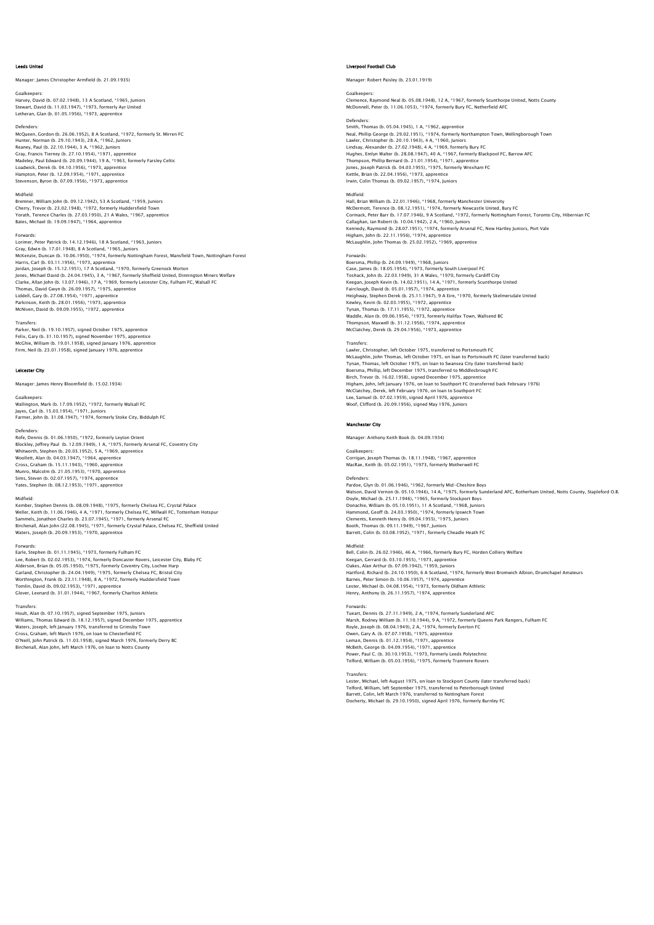## Leeds United

Manager: James Christopher Armfield (b. 21.09.1935)

Goalkeepers: Harvey, David (b. 07.02.1948), 13 A Scotland, \*1965, Juniors Stewart, David (b. 11.03.1947), \*1973, formerly Ayr United Letheran, Glan (b. 01.05.1956), \*1973, apprentice

Defenders:<br>McQueen, Gordon (b. 26.06.1952), 8 A Scotland, \*1972, formerly St. Mirren FC<br>Hunter, Norman (b. 29.10.1943), 28 A, \*1962, Juniors<br>Reaney, Paul (b. 22.10.1944), 3 A, \*1962, Juniors<br>Gray, Francis Tierney (b. 27.10 Madeley, Paul Edward (b. 20.09.1944), 19 A, \*1963, formerly Farsley Celtic Loadwick, Derek (b. 04.10.1956), \*1973, apprentice Hampton, Peter (b. 12.09.1954), \*1971, apprentice Stevenson, Byron (b. 07.09.1956), \*1973, apprentice

Midfield: Bremner, William John (b. 09.12.1942), 53 A Scotland, \*1959, Juniors Cherry, Trevor (b. 23.02.1948), \*1972, formerly Huddersfield Town Yorath, Terence Charles (b. 27.03.1950), 21 A Wales, \*1967, apprentice Bates, Michael (b. 19.09.1947), \*1964, apprentice

Forwards:

Lorimer, Peter Patrick (b. 14.12.1946), 18 A Scotland, \*1963, Juniors Gray, Edwin (b. 17.01.1948), 8 A Scotland, \*1965, Juniors<br>McKenzie, Duncan (b. 10.06.1950), \*1974, formerly Nottingham Forest, Mansfield Town, Nottingham Forest<br>Harris, Carl (b. 03.11.1956), \*1973, apprentice Jordan, Joseph (b. 15.12.1951), 17 A Scotland, \*1970, formerly Greenock Morton<br>Jones, Michael David (b. 24.04.1945), 3 A, \*1967, formerly Sheffield United, Dinnington Miners Welfare<br>Clarke, Allan John (b. 13.07.1946), 17 A

## Transfers:

Parker, Neil (b. 19.10.1957), signed October 1975, apprentice Felix, Gary (b. 31.10.1957), signed November 1975, apprentice McGhie, William (b. 19.01.1958), signed January 1976, apprentice Firm, Neil (b. 23.01.1958), signed January 1976, apprentice

### Leicester City

Manager: James Henry Bloomfield (b. 15.02.1934)

### Goalkeepers:

Wallington, Mark (b. 17.09.1952), \*1972, formerly Walsall FC Jayes, Carl (b. 15.03.1954), \*1971, Juniors Farmer, John (b. 31.08.1947), \*1974, formerly Stoke City, Biddulph FC

## Defenders:

Rofe, Dennis (b. 01.06.1950), \*1972, formerly Leyton Orient Blockley, Jeffrey Paul (b. 12.09.1949), 1 A, \*1975, formerly Arsenal FC, Coventry City Whitworth, Stephen (b. 20.03.1952), 5 A, \*1969, apprentice Woollett, Alan (b. 04.03.1947), \*1964, apprentice Cross, Graham (b. 15.11.1943), \*1960, apprentice Munro, Malcolm (b. 21.05.1953), \*1970, apprentice Sims, Steven (b. 02.07.1957), \*1974, apprentice Yates, Stephen (b. 08.12.1953), \*1971, apprentice

## Midfield:

Kember, Stephen Dennis (b. 08.09.1948), \*1975, formerly Chelsea FC, Crystal Palace<br>Weller, Keith (b. 11.06.1946), 4 A, \*1971, formerly Chelsea FC, Millwall FC, Tottenham Hotspur<br>Sammels, Jonathon Charles (b. 23.07.1945), \* Waters, Joseph (b. 20.09.1953), \*1970, apprentice

Forwards: Earle, Stephen (b. 01.11.1945), \*1973, formerly Fulham FC Lee, Robert (b. 02.02.1953), \*1974, formerly Doncaster Rovers, Leicester City, Blaby FC Alderson, Brian (b. 05.05.1950), \*1975, formerly Coventry City, Lochee Harp Garland, Christopher (b. 24.04.1949), \*1975, formerly Chelsea FC, Bristol City<br>Worthington, Frank (b. 23.11.1948), 8 A, \*1972, formerly Huddersfield Town<br>Tomlin, David (b. 09.02.1953), \*1971, apprentice<br>Glover, Leonard (b.

Transfers: Hoult, Alan (b. 07.10.1957), signed September 1975, Juniors Williams, Thomas Edward (b. 18.12.1957), signed December 1975, apprentice Waters, Joseph, left January 1976, transferred to Grimsby Town Cross, Graham, left March 1976, on loan to Chesterfield FC O'Neill, John Patrick (b. 11.03.1958), signed March 1976, formerly Derry BC Birchenall, Alan John, left March 1976, on loan to Notts County

## Liverpool Football Club

Manager: Robert Paisley (b. 23.01.1919)

## Goalkeepers:

Clemence, Raymond Neal (b. 05.08.1948), 12 A, \*1967, formerly Scunthorpe United, Notts County McDonnell, Peter (b. 11.06.1053), \*1974, formerly Bury FC, Netherfield AFC

Defenders: Smith, Thomas (b. 05.04.1945), 1 A, \*1962, apprentice Neal, Phillip George (b. 29.02.1951), \*1974, formerly Northampton Town, Wellingborough Town<br>Lawler, Christopher (b. 20.10.1943), 4 A, \*1960, Juniors<br>Lindsay, Alexander (b. 27.02.1948), 4 A, \*1969, formerly Bury FC<br>Hughes, Jones, Joseph Patrick (b. 04.03.1955), \*1975, formerly Wrexham FC Kettle, Brian (b. 22.04.1956), \*1973, apprentice العاملية (b. 22.04.1990), 1979, applemate<br>Irwin, Colin Thomas (b. 09.02.1957), \*1974, Junior

## Midfield:

Hall, Brian William (b. 22.01.1946), \*1968, formerly Manchester University McDermott, Terence (b. 08.12.1951), \*1974, formerly Newcastle United, Bury FC Cormack, Peter Barr (b. 17.07.1946), 9 A Scotland, \*1972, formerly Nottingham Forest, Toronto City, Hibernian FC Callaghan, Ian Robert (b. 10.04.1942), 2 A, \*1960, Juniors<br>Kennedy, Raymond (b. 28.07.1951), \*1974, formerly Arsenal FC, New Hartley Juniors, Port Vale<br>Higham, John (b. 22.11.1956), \*1974, apprentice McLaughlin, John Thomas (b. 25.02.1952), \*1969, apprentice

Forwards: Boersma, Phillip (b. 24.09.1949), \*1968, Juniors Case, James (b. 18.05.1954), \*1973, formerly South Liverpool FC<br>Toshack, John (b. 22.03.1949), 31 A Wales, \*1970, formerly Cardiff City<br>Keegan, Joseph Kevin (b. 14.02.1951), 14 A, \*1971, formerly Scunthorpe United Fairclough, David (b. 05.01.1957), \*1974, apprentice<br>Heighway, Stephen Derek (b. 25.11.1947), 9 A Eire, \*1970, formerly Skelmersdale United<br>Kewley, Kevin (b. 02.03.1955), \*1972, apprentice Tynan, Thomas (b. 17.11.1955), \*1972, apprentice Waddle, Alan (b. 09.06.1954), \*1973, formerly Halifax Town, Wallsend BC Thompson, Maxwell (b. 31.12.1956), \*1974, apprentice McClatchey, Derek (b. 29.04.1956), \*1973, apprentice

## **Transfers**

Lawler, Christopher, left October 1975, transferred to Portsmouth FC McLaughlin, John Thomas, left October 1975, on loan to Portsmouth FC (later transferred back) Tynan, Thomas, left October 1975, on loan to Swansea City (later transferred back)<br>Boersma, Phillip, left December 1975, transferred to Middlesbrough FC<br>Birch, Trevor (b. 16.02.1958), signed December 1975, apprentice Higham, John, left January 1976, on Ioan to Southport FC (transferred back February 1976)<br>McClatchey, Derek, left February 1976, on Ioan to Southport FC<br>Lee, Samuel (b. 07.02.1959), signed April 1976, apprentice<br>Woof, Clif

## Manchester City

Manager: Anthony Keith Book (b. 04.09.1934)

## Goalkeepers:

Corrigan, Joseph Thomas (b. 18.11.1948), \*1967, apprentice MacRae, Keith (b. 05.02.1951), \*1973, formerly Motherwell FC

Defenders:<br>Pardoe, Glyn (b. 01.06.1946), \*1962, formerly Mid-Cheshire Boys<br>Watson, David Vernon (b. 05.10.1946), 14 A, \*1975, formerly Sunderland AFC, Rotherham United, Notts County, Stapleford O.B Doyle, Michael (b. 25.11.1946), \*1965, formerly Stockport Boys<br>Donachie, William (b. 05.10.1951), 11 A Scotland, \*1968, Juniors<br>Hammond, Geoff (b. 24.03.1950), \*1974, formerly Ipswich Town<br>Clements, Kenneth Henry (b. 09.04 Barrett, Colin (b. 03.08.1952), \*1971, formerly Cheadle Heath FC

Midfield: Bell, Colin (b. 26.02.1946), 46 A, \*1966, formerly Bury FC, Horden Colliery Welfare Keegan, Gerrard (b. 03.10.1955), \*1973, apprentice Oakes, Alan Arthur (b. 07.09.1942), \*1959, Juniors Hartford, Richard (b. 24.10.1950), 6 A Scotland, \*1974, formerly West Bromwich Albion, Drumchapel Amateurs<br>Barnes, Peter Simon (b. 10.06.1957), \*1974, apprentice<br>Lester, Michael (b. 04.08.1954), \*1973, formerly Oldham Athl

## Forwards:

Tueart, Dennis (b. 27.11.1949), 2 A, \*1974, formerly Sunderland AFC<br>Marsh, Rodney William (b. 11.10.1944), 9 A, \*1972, formerly Queens Park Rangers, Fulham FC<br>Royle, Joseph (b. 08.04.1949), 2 A, \*1974, formerly Everton FC<br>

Leman, Dennis (b. 01.12.1954), \*1971, apprentice<br>McBeth, George (b. 04.09.1954), \*1971, apprentice<br>Power, Paul C. (b. 30.10.1953), \*1973, formerly Leeds Polytechnic<br>Telford, William (b. 05.03.1956), \*1975, formerly Tranmer

Transfers:<br>Lester, Michael, left August 1975, on Ioan to Stockport County (later transferred back)<br>Telford, William, left September 1975, transferred to Peterborough United<br>Barrett, Colin, left March 1976, transferred to N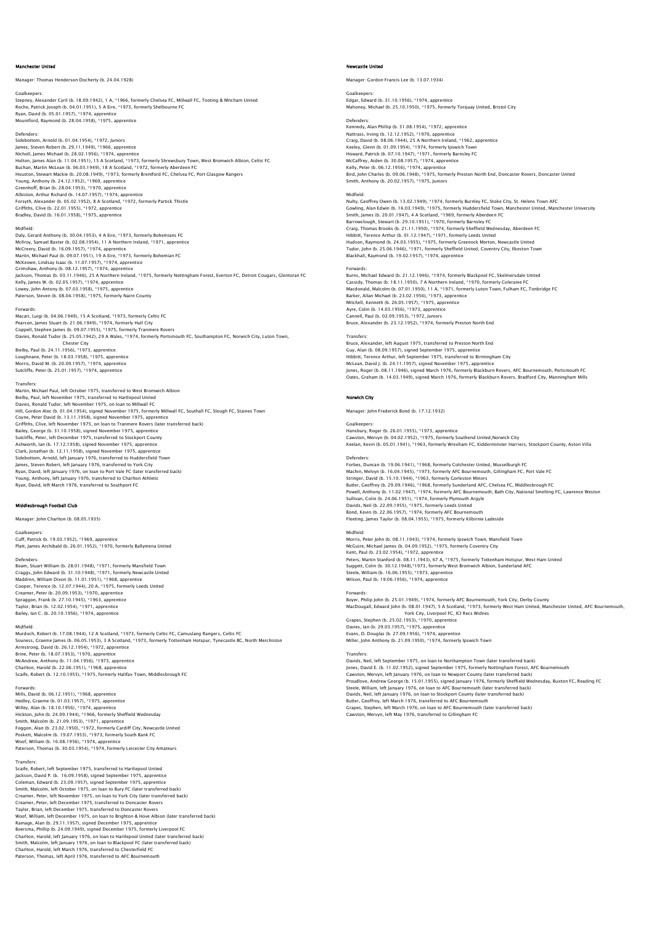## Manchester United

Manager: Thomas Henderson Docherty (b. 24.04.1928)

## Goalkeepers:

Stepney, Alexander Cyril (b. 18.09.1942), 1 A, \*1966, formerly Chelsea FC, Millwall FC, Tooting & Mitcham United Roche, Patrick Joseph (b. 04.01.1951), 5 A Eire, \*1973, formerly Shelbourne FC<br>Ryan, David (b. 05.01.1957), \*1974, apprentice<br>Mountford, Raymond (b. 28.04.1958), \*1975, apprentice

### Defenders:

Sidebottom, Arnold (b. 01.04.1954), \*1972, Juniors James, Steven Robert (b. 29.11.1949), \*1966, apprentice<br>Nicholl, James Michael (b. 28.02.1956), \*1974, apprentice<br>Holton, James Alan (b. 11.04.1951), 15 A Scotland, \*1973, formerly Shrewsbury Town, West Bromwich Albion, Ce Buchan, Martin McLean (b. 06.03.1949), 18 A Scotland, \*1972, formerly Aberdeen FC<br>Houston, Stewart Mackie (b. 20.08.1949), \*1973, formerly Brentford FC, Chelsea FC, Port Glasgow Rangers<br>Young, Anthony (b. 28.04.1952), \*196 Forsyth, Alexander (b. 05.02.1952), 8 A Scotland, \*1972, formerly Partick Thistle Griffiths, Clive (b. 22.01.1955), \*1972, apprentice Bradley, David (b. 16.01.1958), \*1975, apprentice

Midfield: Daly, Gerard Anthony (b. 30.04.1953), 4 A Eire, \*1973, formerly Bohemians FC McIlroy, Samuel Baxter (b. 02.08.1954), 11 A Northern Ireland, \*1971, apprentice McCreery, David (b. 16.09.1957), \*1974, apprentice Martin, Michael Paul (b. 09.07.1951), 19 A Eire, \*1973, formerly Bohemian FC McKeown, Lindsay Isaac (b. 11.07.1957), \*1974, apprentice Grimshaw, Anthony (b. 08.12.1957), \*1974, apprentice Jackson, Thomas (b. 03.11.1946), 25 A Northern Ireland, \*1975, formerly Nottingham Forest, Everton FC, Detroit Cougars, Glentoran FC Kelly, James W. (b. 02.05.1957), \*1974, apprentice Lowey, John Antony (b. 07.03.1958), \*1975, apprentice Paterson, Steven (b. 08.04.1958), \*1975, formerly Nairn County

## Forwards:

Macari, Luigi (b. 04.06.1949), 15 A Scotland, \*1973, formerly Celtic FC Pearson, James Stuart (b. 21.06.1949), \*1974, formerly Hull City<br>Coppell, Stephen James (b. 09.07.1955), \*1975, formerly Tranmere Rovers<br>Davies, Ronald Tudor (b. 25.05.1942), 29 A Wales, \*1974, formerly Portsmouth FC, Sout Chester City Eilester Eity<br>Bielby, Paul (b. 24.11.1956), \*1973, apprentice Loughnane, Peter (b. 18.03.1958), \*1975, apprentice Morris, David M. (b. 20.09.1957), \*1974, apprentice Sutcliffe, Peter (b. 25.01.1957), \*1974, apprentice

### **Transfers**

Martin, Michael Paul, left October 1975, transferred to West Bromwich Albion Bielby, Paul, left November 1975, transferred to Hartlepool United<br>Davies, Ronald Tudor, left November 1975, on loan to Millwall FC<br>Hill, Gordon Alec (b. 01.04.1954), signed November 1975, formerly Millwall FC, Southall FC Griffiths, Clive, left November 1975, on loan to Tranmere Rovers (later transferred back) Bailey, George (b. 31.10.1958), signed November 1975, apprentice<br>Sutcliffe, Peter, left December 1975, transferred to Stockport County<br>Ashworth, lan (b. 17.12.1958), signed November 1975, apprentice<br>Clark, Jonathan (b. 12. Sidebottom, Arnold, left January 1976, transferred to Huddersfield Town James, Steven Robert, left January 1976, transferred to York City<br>Ryan, David, left January 1976, on Ioan to Port Vale FC (later transferred back)<br>Young, Anthony, Ieft January 1976, transferred to Charlton Athletic<br>Ryan, D

## sbrough Football Club

## Manager: John Charlton (b. 08.05.1935)

Goalkeepers: Cuff, Patrick (b. 19.03.1952), \*1969, apprentice Platt, James Archibald (b. 26.01.1952), \*1970, formerly Ballymena United

## Defenders:

Boam, Stuart William (b. 28.01.1948), \*1971, formerly Mansfield Town Craggs, John Edward (b. 31.10.1948), \*1971, formerly Newcastle United Maddren, William Dixon (b. 11.01.1951), \*1968, apprentice Cooper, Terence (b. 12.07.1944), 20 A, \*1975, formerly Leeds United Creamer, Peter (b. 20.09.1953), \*1970, apprentice Spraggon, Frank (b. 27.10.1945), \*1963, apprentice Taylor, Brian (b. 12.02.1954), \*1971, apprentice Bailey, Ian C. (b. 20.10.1956), \*1974, apprentice

## Midfield:

Murdoch, Robert (b. 17.08.1944), 12 A Scotland, \*1973, formerly Celtic FC, Camuslang Rangers, Celtic FC Souness, Graeme James (b. 06.05.1953), 3 A Scotland, \*1973, formerly Tottenham Hotspur, Tynecastle BC, North Merchiston<br>Brinstrong, David (b. 26.12.1954), \*1972, apprentice<br>Brine, Peter (b. 18.07.1953), \*1970, apprentice<br>M Scaife, Robert (b. 12.10.1955), \*1975, formerly Halifax Town, Middlesbrough FC

Forwards: Mills, David (b. 06.12.1951), \*1968, apprentice Hedley, Graeme (b. 01.03.1957), \*1975, apprentice Willey, Alan (b. 18.10.1956), \*1974, apprentice<br>Hickton, John (b. 24.09.1944), \*1966, formerly Sheffield Wednesday<br>Smith, Malcolm (b. 21.09.1953), \*1971, apprentice<br>Foggon, Alan (b. 23.02.1950), \*1972, formerly Cardiff Cit Woof, William (b. 16.08.1956), \*1974, apprentice Paterson, Thomas (b. 30.03.1954), \*1974, formerly Leicester City Amateurs

Transfers: Scaife, Robert, left September 1975, transferred to Hartlepool United Jackson, David P. (b. 16.09.1958), signed September 1975, apprentice Coleman, Edward (b. 23.09.1957), signed September 1975, apprentice<br>Smith, Malcolm, left October 1975, on Ioan to Bury FC (later transferred back)<br>Creamer, Peter, left November 1975, on Ioan to York City (later transferred Creamer, Peter, left December 1975, transferred to Doncaster Rovers Taylor, Brian, left December 1975, transferred to Doncaster Rovers<br>Woof, William, left December 1975, on loan to Brighton & Hove Albion (later transferred back)<br>Ramage, Alan (b. 29.11.1957), signed December 1975, apprentic Smith, Malcolm, left January 1976, on loan to Blackpool FC (later transferred back) Charlton, Harold, left March 1976, transferred to Chesterfield FC Paterson, Thomas, left April 1976, transferred to AFC Bourn

## Newcastle United

Manager: Gordon Francis Lee (b. 13.07.1934)

Goalkeepers: Edgar, Edward (b. 31.10.1956), \*1974, apprentice Mahoney, Michael (b. 25.10.1950), \*1975, formerly Torquay United, Bristol City

Defenders: Kennedy, Alan Phillip (b. 31.08.1954), \*1972, apprentice Nattrass, Irving (b. 12.12.1952), \*1970, apprentice Craig, David (b. 08.06.1944), 25 A Northern Ireland, \*1962, apprentice Keeley, Glenn (b. 01.09.1954), \*1974, formerly Ipswich Town Howard, Patrick (b. 07.10.1947), \*1971, formerly Barnsley FC McCaffrey, Aiden (b. 30.08.1957), \*1974, apprentice Kelly, Peter (b. 06.12.1956), \*1974, apprentice<br>Bird, John Charles (b. 09.06.1948), \*1975, formerly Preston North End, Doncaster Rovers, Doncaster United<br>Smith, Anthony (b. 20.02.1957), \*1975, Juniors

### Midfield:

Nulty, Geoffrey Owen (b. 13.02.1949), \*1974, formerly Burnley FC, Stoke City, St. Helens Town AFC Gowling, Alan Edwin (b. 16.03.1949), \*1975, formerly Huddersfield Town, Manchester United, Manchester University<br>Smith James (b. 20.01.1947), 4.4 Scotland, \*1969, formerly Aberdeen FC Smith, James (b. 20.01.1947), 4 A Scotland, \*1969, formerly Aberdeen FC<br>Barrowclough, Stewart (b. 29.10.1951), \*1970, formerly Barnsley FC<br>Craig, Thomas Brooks (b. 21.11.1950), \*1974, formerly Sheffield Wednesday, Aberdeen Hudson, Raymond (b. 24.03.1955), \*1975, formerly Greenock Morton, Newcastle United<br>Tudor, John (b. 25.06.1946), \*1971, formerly Sheffield United, Coventry City, Ilkeston Town<br>Blackhall, Raymond (b. 19.02.1957), \*1974, appr

## Forwards:

Burns, Michael Edward (b. 21.12.1946), \*1974, formerly Blackpool FC, Skelmersdale United Cassidy, Thomas (b. 18.11.1950), 7 A Northern Ireland, \*1970, formerly Coleraine FC<br>Macdonald, Malcolm (b. 07.01.1950), 11 A, \*1971, formerly Luton Town, Fulham FC, Tonbridge FC<br>Barker, Allan Michael (b. 23.02.1956), \*1973 Ayre, Colin (b. 14.03.1956), \*1973, apprentice Cannell, Paul (b. 02.09.1953), \*1972, Juniors Bruce, Alexander (b. 23.12.1952), \*1974, formerly Preston North End

Transfers: Bruce, Alexander, left August 1975, transferred to Preston North End Guy, Alan (b. 08.09.1957), signed September 1975, apprentice Hibbitt, Terence Arthur, left September 1975, transferred to Birmingham City McLean, David J. (b. 24.11.1957), signed November 1975, apprentice<br>Jones, Roger (b. 08.11.1946), signed March 1976, formerly Blackburn Rovers, AFC Bournemouth, Portsmouth FC<br>Oates, Graham (b. 14.03.1949), signed March 1976

## Norwich City

Manager: John Frederick Bond (b. 17.12.1932)

Goalkeepers: Hansbury, Roger (b. 26.01.1955), \*1973, apprentice Cawston, Mervyn (b. 04.02.1952), \*1975, formerly Southend United,Norwich City Keelan, Kevin (b. 05.01.1941), \*1963, formerly Wrexham FC, Kidderminster Harriers, Stockport County, Aston Villa

Defenders:<br>Forber, Duncan (b. 19.06.1941), \*1968, formerly Colchester United, Musselburgh FC<br>Machin, Melvyn (b. 16.04.1945), \*1973, formerly AFC Bournemouth, Gillingham FC, Port Vale FC<br>Stringer, David (b. 15.10.1944), \*19 Sullivan, Colin (b. 24.06.1951), \*1974, formerly Plymouth Argyle<br>Davids, Neil (b. 22.09.1955), \*1975, formerly Leeds United<br>Bond, Kevin (b. 22.06.1957), \*1974, formerly AFC Bournemouth<br>Fleeting, James Taylor (b. 08.04.1955

Midfield:<br>Morris, Peter John (b. 08.11.1943), \*1974, formerly Ipswich Town, Mansfield Town<br>McGuire, Michael James (b. 04.09.1952), \*1975, formerly Coventry City<br>Kent, Paul (b. 23.02.1954), \*1972, apprentice<br>Peters, Martin Suggett, Colin (b. 30.12.1948),\*1973, formerly West Bromwich Albion, Sunderland AFC Steele, William (b. 16.06.1955), \*1973, apprentice Wilson, Paul (b. 19.06.1956), \*1974, apprentice

## Forwards:

Boyer, Philip John (b. 25.01.1949), \*1974, formerly AFC Bournemouth, York City, Derby County MacDougall, Edward John (b. 08.01.1947), 5 A Scotland, \*1973, formerly West Ham United, Manchester United, AFC Bournemouth,<br>Grapes, Stephen (b. 25.02.1953), \*1970, apprentice<br>Grapes, Stephen (b. 25.02.1953), \*1970, apprent

Davies, Ian (b. 29.03.1957), \*1975, apprentice Evans, D. Douglas (b. 27.09.1956), \*1974, apprentice

Miller, John Anthony (b. 21.09.1950), \*1974, formerly Ipswich Town

# Transfers:<br>Davids, Neil, left September 1975, on loan to Northampton Town (later transferred back)<br>Jones, David E. (b. 11.02.1952), signed September 1975, formerly Nottingham Forest, AFC Bournemouth

Cawston, Mervyn, left January 1976, on loan to Newport County (later transferred back)<br>Proudlove, Andrew George (b. 15.01.1955), signed January 1976, formerly Sheffield Wednesday, Buxton FC, Reading FC<br>Steele, William, lef Grapes, Stephen, left March 1976, on loan to AFC Bournemouth (later transferred back) Cawston, Mervyn, left May 1976, transferred to Gillingham FC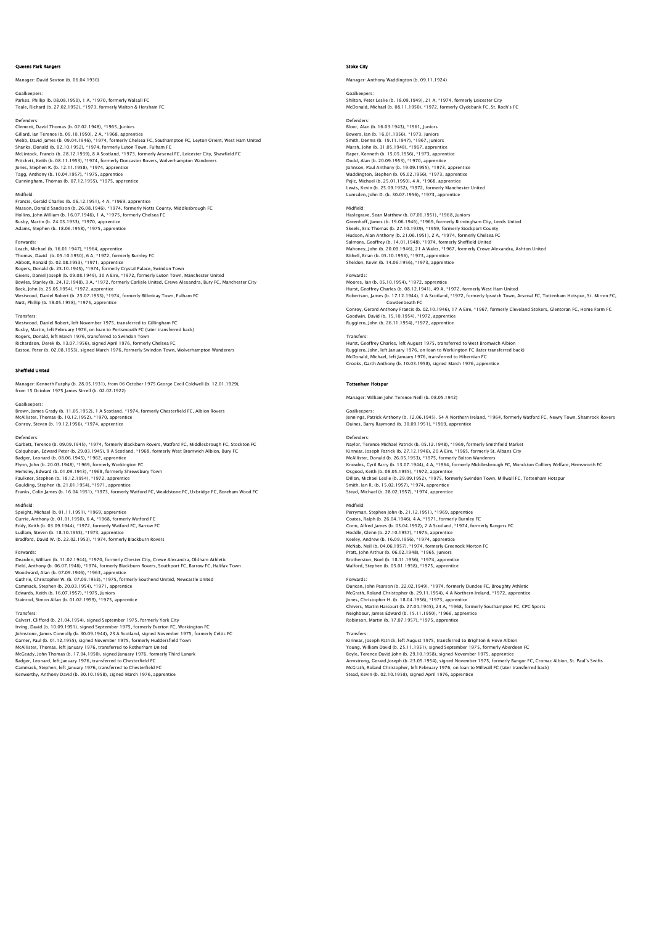## Queens Park Rangers

Manager: David Sexton (b. 06.04.1930)

Goalkeepers: Parkes, Phillip (b. 08.08.1950), 1 A, \*1970, formerly Walsall FC Teale, Richard (b. 27.02.1952), \*1973, formerly Walton & Hersham FC

Defenders: Clement, David Thomas (b. 02.02.1948), \*1965, Juniors Gillard, Ian Terence (b. 09.10.1950), 2 A, † 1968, apprentice<br>Webb, David James (b. 09.04.1946), \* 1974, formerly Chelsea FC, Southampton FC, Leyton Orient, West Ham United<br>Shanks, Donald (b. 02.10.1952), \*1974, formerly L Jones, Stephen R. (b. 12.11.1958), \*1974, apprentice Tagg, Anthony (b. 10.04.1957), \*1975, apprentice Cunningham, Thomas (b. 07.12.1955), \*1975, apprentice

## Midfield:

Francis, Gerald Charles (b. 06.12.1951), 4 A, \*1969, apprentice<br>Masson, Donald Sandison (b. 26.08.1946), \*1974, formerly Notts County, Middlesbrough FC<br>Hollins, John William (b. 16.07.1946), 1 A, \*1975, formerly Chelsea FC Busby, Martin (b. 24.03.1953), \*1970, apprentice Adams, Stephen (b. 18.06.1958), \*1975, apprentice

Forwards: Leach, Michael (b. 16.01.1947), \*1964, apprentice Thomas, David (b. 05.10.1950), 6 A, \*1972, formerly Burnley FC Abbott, Ronald (b. 02.08.1953), \*1971, apprentice Rogers, Donald (b. 25.10.1945), \*1974, formerly Crystal Palace, Swindon Town Givens, Daniel Joseph (b. 09.08.1949), 30 A Eire, \*1972, formerly Luton Town, Manchester United Bowles, Stanley (b. 24.12.1948), 3 A, \*1972, formerly Carlisle United, Crewe Alexandra, Bury FC, Manchester City Beck, John (b. 25.05.1954), \*1972, apprentice<br>Westwood, Daniel Robert (b. 25.07.1953), \*1974, formerly Billericay Town, Fulham FC<br>Nutt, Phillip (b. 18.05.1958), \*1975, apprentice

Transfers:<br>Westwood, Daniel Behert, Joft Neuember 1975, transferred to Gillingham EC Westwood, Daniel Robert, left November 1975, transferred to Gillingham FC<br>Busby, Martin, left February 1976, on loan to Portsmouth FC (later transferred back)<br>Rogers, Donald, left March 1976, transferred to Swindon Town<br>Ri Eastoe, Peter (b. 02.08.1953), signed March 1976, formerly Swindon Town, Wolverhampton Wanderers

### Sheffield United

Manager: Kenneth Furphy (b. 28.05.1931), from 06 October 1975 George Cecil Coldwell (b. 12.01.1929), from 15 October 1975 James Sirrell (b. 02.02.1922)

**Goalkeepers** Brown, James Grady (b. 11.05.1952), 1 A Scotland, \*1974, formerly Chesterfield FC, Albion Rovers McAllister, Thomas (b. 10.12.1952), \*1970, apprentice Conroy, Steven (b. 19.12.1956), \*1974, apprentice

Defenders:<br>Garbett, Terence (b. 09.09.1945), \*1974, formerly Blackburn Rovers, Watford FC, Middlesbrough FC, Stockton FC<br>Colquhoun, Edward Peter (b. 29.03.1945), 9 A Scotland, \*1968, formerly West Bromwich Albion, Bury FC Badger, Leonard (b. 08.06.1945), \*1962, apprentice Flynn, John (b. 20.03.1948), \*1969, formerly Workington FC<br>Hemsley, Edward (b. 01.09.1943), \*1968, formerly Shrewsbury Town<br>Faulkner, Stephen (b. 18.12.1954), \*1972, apprentice<br>Goulding, Stephen (b. 21.01.1954), \*1971, app Franks, Colin James (b. 16.04.1951), \*1973, formerly Watford FC, Wealdstone FC, Uxbridge FC, Boreham Wood FC

Midfield: Speight, Michael (b. 01.11.1951), \*1969, apprentice Currie, Anthony (b. 01.01.1950), 6 A, \*1968, formerly Watford FC Eddy, Keith (b. 03.09.1944), \*1972, formerly Watford FC, Barrow FC Ludlam, Steven (b. 18.10.1955), \*1973, apprentice Bradford, David W. (b. 22.02.1953), \*1974, formerly Blackburn Rovers

### Forwards:

Dearden, William (b. 11.02.1944), \*1970, formerly Chester City, Crewe Alexandra, Oldham Athletic Field, Anthony (b. 06.07.1946), \*1974, formerly Blackburn Rovers, Southport FC, Barrow FC, Halifax Town Woodward, Alan (b. 07.09.1946), \*1963, apprentiee<br>Guthrie, Christopher W. (b. 07.09.1953), \*1975, formerly Southend United, Newcastle United<br>Cammack, Stephen (b. 20.03.1954), \*1971, apprentice<br>Edwards, Keith (b. 16.07.1957

Transfers: Calvert, Clifford (b. 21.04.1954), signed September 1975, formerly York City Irving, David (b. 10.09.1951), signed September 1975, formerly Everton FC, Workington FC Johnstone, James Connolly (b. 30.09.1944), 23 A Scotland, signed November 1975, formerly Celtic FC Garner, Paul (b. 01.12.1955), signed November 1975, formerly Huddersfield Town<br>McAllister, Thomas, left January 1976, transferred to Rotherham United<br>McCeady, John Thomas (b. 17.04.1950), signed January 1976, formerly Thir Cammack, Stephen, left January 1976, transferred to Chesterfield FC Kenworthy, Anthony David (b. 30.10.1958), signed March 1976, apprentice

## Stoke City

Manager: Anthony Waddington (b. 09.11.1924)

## Goalkeepers:

Shilton, Peter Leslie (b. 18.09.1949), 21 A, \*1974, formerly Leicester City McDonald, Michael (b. 08.11.1950), \*1972, formerly Clydebank FC, St. Roch's FC

Defenders: Bloor, Alan (b. 16.03.1943), \*1961, Juniors Bowers, Ian (b. 16.01.1956), \*1973, Juniors Smith, Dennis (b. 19.11.1947), \*1967, Juniors Marsh, John (b. 31.05.1948), \*1967, apprentice Raper, Kenneth (b. 15.05.1956), \*1973, apprentice Dodd, Alan (b. 20.09.1953), \*1970, apprentice Johnson, Paul Anthony (b. 19.09.1955), \*1973, apprentice Waddington, Stephen (b. 05.02.1956), \*1973, apprentice Pejic, Michael (b. 25.01.1950), 4 A, \*1968, apprentice Lewis, Kevin (b. 25.09.1952), \*1972, formerly Manchester United Lumsden, John D. (b. 30.07.1956), \*1973, apprentice

Midfield:<br>Haslegrave, Sean Matthew (b. 07.06.1951), \*1968, Juniors<br>Greenhoff, James (b. 19.06.1946), \*1969, formerly Birmingham City, Leeds United<br>Skeels, Eric Thomas (b. 27.10.1939), \*1959, formerly Stockport County<br>Hudso

## Forwards:

Moores, Ian (b. 05.10.1954), \*1972, apprentice<br>Hurst, Geoffrey Charles (b. 08.12.1941), 49 A, \*1972, formerly West Ham United<br>Robertson, James (b. 17.12.1944), 1 A Scotland, \*1972, formerly Ipswich Town, Arsenal FC, Totten Cowdenbeath FC Conroy, Gerard Anthony Francis (b. 02.10.1946), 17 A Eire, \*1967, formerly Cleveland Stokers, Glentoran FC, Home Farm FC Goodwin, David (b. 15.10.1954), \*1972, apprentice Ruggiero, John (b. 26.11.1954), \*1972, apprentice

## Transfers:

Hurst, Geoffrey Charles, left August 1975, transferred to West Bromwich Albion Ruggiero, John, left January 1976, on loan to Workington FC (later transferred back) McDonald, Michael, left January 1976, transferred to Hibernian FC Crooks, Garth Anthony (b. 10.03.1958), signed March 1976, apprentice

## Tottenham Hotspur

Manager: William John Terence Neill (b. 08.05.1942)

## Goalkeepers:

Jennings, Patrick Anthony (b. 12.06.1945), 54 A Northern Ireland, \*1964, formerly Watford FC, Newry Town, Shamrock Rovers Daines, Barry Raymond (b. 30.09.1951), \*1969, apprentice

Defenders: Naylor, Terence Michael Patrick (b. 05.12.1948), \*1969, formerly Smithfield Market Kinnear, Joseph Patrick (b. 27.12.1946), 20 A Eire, \*1965, formerly St. Albans City McAllister, Donald (b. 26.05.1953), \*1975, formerly Bolton Wanderers Knowles, Cyril Barry (b. 13.07.1944), 4 A, \*1964, formerly Middlesbrough FC, Monckton Colliery Welfare, Hemsworth FC<br>Osgood, Keith (b. 08.05.1955), \*1972, apprentice<br>Dillon, Michael Leslie (b. 29.09.1952), \*1975, formerly Smith, Ian R. (b. 15.02.1957), \*1974, apprentice Stead, Michael (b. 28.02.1957), \*1974, apprentice

Midfield: Perryman, Stephen John (b. 21.12.1951), \*1969, apprentice Coates, Ralph (b. 26.04.1946), 4 A, \*1971, formerly Burnley FC Conn, Alfred James (b. 05.04.1952), 2 A Scotland, \*1974, formerly Rangers FC Hoddle, Clenn (b. 27.10.1957), \*1975, apprentice<br>Keeley, Andrew (b. 16.09.1956), \*1974, apprentice<br>McNab, Neil (b. 04.06.1957), \*1974, formerly Greenock Morton FC<br>Pratt, John Arthur (b. 06.02.1948), \*1954, apprentice<br>Broth Walford, Stephen (b. 05.01.1958), \*1975, apprentice

Forwards: Duncan, John Pearson (b. 22.02.1949), \*1974, formerly Dundee FC, Broughty Athletic McGrath, Roland Christopher (b. 29.11.1954), 4 A Northern Ireland, \*1972, apprentice Jones, Christopher H. (b. 18.04.1956), \*1973, apprentice Chivers, Martin Harcourt (b. 27.04.1945), 24 A, \*1968, formerly Southampton FC, CPC Sports<br>Neighbour, James Edward (b. 15.11.1950), \*1966, apprentice<br>Robinson, Martin (b. 17.07.1957), \*1975, apprentice

Transfers:<br>Kinnear, Joseph Patrick, left August 1975, transferred to Brighton & Hove Albion<br>Young, William David (b. 25.11.1951), signed September 1975, formerly Aberdeen FC<br>Boyle, Terence David John (b. 23.0.1958), signed Stead, Kevin (b. 02.10.1958), signed April 1976, apprentice